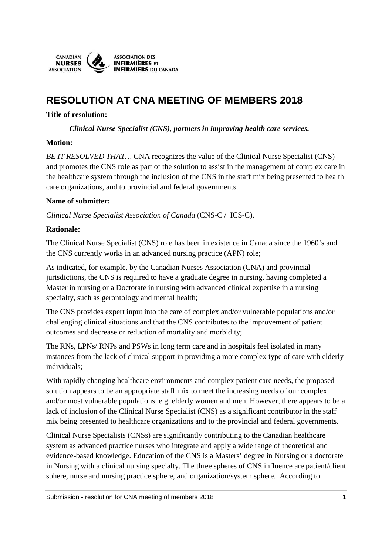

# **RESOLUTION AT CNA MEETING OF MEMBERS 2018**

# **Title of resolution:**

*Clinical Nurse Specialist (CNS), partners in improving health care services.* 

# **Motion:**

*BE IT RESOLVED THAT...* CNA recognizes the value of the Clinical Nurse Specialist (CNS) and promotes the CNS role as part of the solution to assist in the management of complex care in the healthcare system through the inclusion of the CNS in the staff mix being presented to health care organizations, and to provincial and federal governments.

# **Name of submitter:**

*Clinical Nurse Specialist Association of Canada* (CNS-C / ICS-C).

# **Rationale:**

The Clinical Nurse Specialist (CNS) role has been in existence in Canada since the 1960's and the CNS currently works in an advanced nursing practice (APN) role;

As indicated, for example, by the Canadian Nurses Association (CNA) and provincial jurisdictions, the CNS is required to have a graduate degree in nursing, having completed a Master in nursing or a Doctorate in nursing with advanced clinical expertise in a nursing specialty, such as gerontology and mental health;

The CNS provides expert input into the care of complex and/or vulnerable populations and/or challenging clinical situations and that the CNS contributes to the improvement of patient outcomes and decrease or reduction of mortality and morbidity;

The RNs, LPNs/ RNPs and PSWs in long term care and in hospitals feel isolated in many instances from the lack of clinical support in providing a more complex type of care with elderly individuals;

With rapidly changing healthcare environments and complex patient care needs, the proposed solution appears to be an appropriate staff mix to meet the increasing needs of our complex and/or most vulnerable populations, e.g. elderly women and men. However, there appears to be a lack of inclusion of the Clinical Nurse Specialist (CNS) as a significant contributor in the staff mix being presented to healthcare organizations and to the provincial and federal governments.

Clinical Nurse Specialists (CNSs) are significantly contributing to the Canadian healthcare system as advanced practice nurses who integrate and apply a wide range of theoretical and evidence-based knowledge. Education of the CNS is a Masters' degree in Nursing or a doctorate in Nursing with a clinical nursing specialty. The three spheres of CNS influence are patient/client sphere, nurse and nursing practice sphere, and organization/system sphere. According to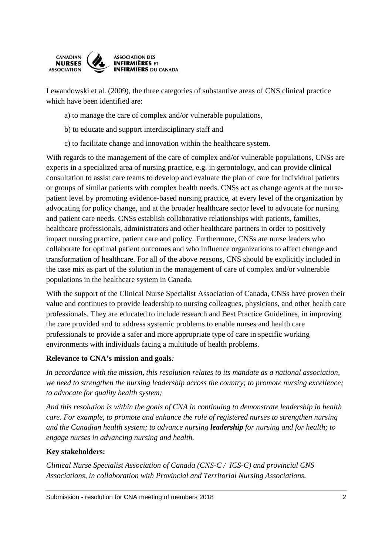

Lewandowski et al. (2009), the three categories of substantive areas of CNS clinical practice which have been identified are:

a) to manage the care of complex and/or vulnerable populations,

- b) to educate and support interdisciplinary staff and
- c) to facilitate change and innovation within the healthcare system.

With regards to the management of the care of complex and/or vulnerable populations, CNSs are experts in a specialized area of nursing practice, e.g. in gerontology, and can provide clinical consultation to assist care teams to develop and evaluate the plan of care for individual patients or groups of similar patients with complex health needs. CNSs act as change agents at the nursepatient level by promoting evidence-based nursing practice, at every level of the organization by advocating for policy change, and at the broader healthcare sector level to advocate for nursing and patient care needs. CNSs establish collaborative relationships with patients, families, healthcare professionals, administrators and other healthcare partners in order to positively impact nursing practice, patient care and policy. Furthermore, CNSs are nurse leaders who collaborate for optimal patient outcomes and who influence organizations to affect change and transformation of healthcare. For all of the above reasons, CNS should be explicitly included in the case mix as part of the solution in the management of care of complex and/or vulnerable populations in the healthcare system in Canada.

With the support of the Clinical Nurse Specialist Association of Canada, CNSs have proven their value and continues to provide leadership to nursing colleagues, physicians, and other health care professionals. They are educated to include research and Best Practice Guidelines, in improving the care provided and to address systemic problems to enable nurses and health care professionals to provide a safer and more appropriate type of care in specific working environments with individuals facing a multitude of health problems.

#### **Relevance to CNA's mission and goals***:*

*In accordance with the mission, this resolution relates to its mandate as a national association, we need to strengthen the nursing leadership across the country; to promote nursing excellence; to advocate for quality health system;* 

*And this resolution is within the goals of CNA in continuing to demonstrate leadership in health care. For example, to promote and enhance the role of registered nurses to strengthen nursing and the Canadian health system; to advance nursing leadership for nursing and for health; to engage nurses in advancing nursing and health.* 

#### **Key stakeholders:**

*Clinical Nurse Specialist Association of Canada (CNS-C / ICS-C) and provincial CNS Associations, in collaboration with Provincial and Territorial Nursing Associations.*